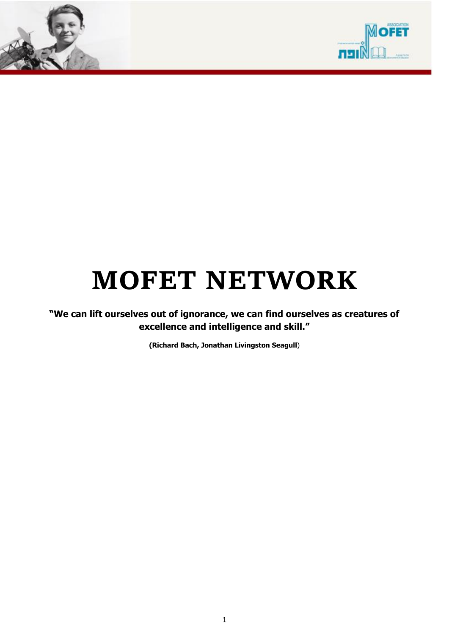



# **MOFET NETWORK**

**"We can lift ourselves out of ignorance, we can find ourselves as creatures of excellence and intelligence and skill."**

**(Richard Bach, Jonathan Livingston Seagull**)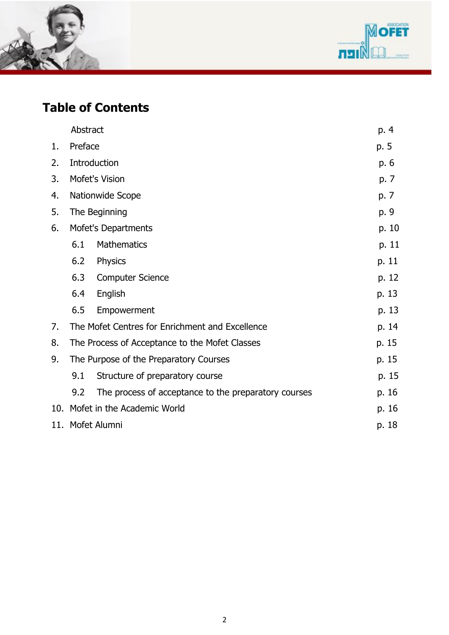



## **Table of Contents**

|    | Abstract                               |                                                      | p. 4  |
|----|----------------------------------------|------------------------------------------------------|-------|
| 1. | Preface                                |                                                      | p. 5  |
| 2. |                                        | Introduction                                         | p. 6  |
| 3. |                                        | Mofet's Vision                                       | p. 7  |
| 4. |                                        | Nationwide Scope                                     | p. 7  |
| 5. |                                        | The Beginning                                        | p. 9  |
| 6. | Mofet's Departments                    |                                                      | p. 10 |
|    | 6.1                                    | <b>Mathematics</b>                                   | p. 11 |
|    | 6.2                                    | Physics                                              | p. 11 |
|    | 6.3                                    | <b>Computer Science</b>                              | p. 12 |
|    | 6.4                                    | English                                              | p. 13 |
|    | 6.5                                    | Empowerment                                          | p. 13 |
| 7. |                                        | The Mofet Centres for Enrichment and Excellence      | p. 14 |
| 8. |                                        | The Process of Acceptance to the Mofet Classes       | p. 15 |
| 9. | The Purpose of the Preparatory Courses |                                                      | p. 15 |
|    | 9.1                                    | Structure of preparatory course                      | p. 15 |
|    | 9.2                                    | The process of acceptance to the preparatory courses | p. 16 |
|    |                                        | 10. Mofet in the Academic World                      | p. 16 |
|    | 11. Mofet Alumni<br>p. 18              |                                                      |       |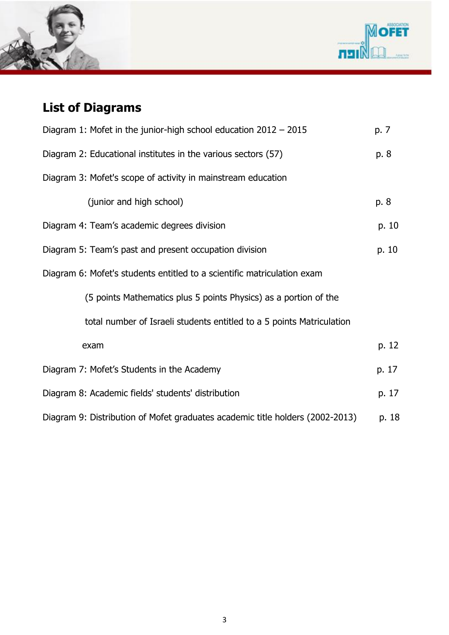



# **List of Diagrams**

| Diagram 1: Mofet in the junior-high school education $2012 - 2015$            |       |  |  |
|-------------------------------------------------------------------------------|-------|--|--|
| Diagram 2: Educational institutes in the various sectors (57)                 |       |  |  |
| Diagram 3: Mofet's scope of activity in mainstream education                  |       |  |  |
| (junior and high school)                                                      | p. 8  |  |  |
| Diagram 4: Team's academic degrees division                                   | p. 10 |  |  |
| Diagram 5: Team's past and present occupation division                        |       |  |  |
| Diagram 6: Mofet's students entitled to a scientific matriculation exam       |       |  |  |
| (5 points Mathematics plus 5 points Physics) as a portion of the              |       |  |  |
| total number of Israeli students entitled to a 5 points Matriculation         |       |  |  |
| exam                                                                          | p. 12 |  |  |
| Diagram 7: Mofet's Students in the Academy                                    |       |  |  |
| Diagram 8: Academic fields' students' distribution                            |       |  |  |
| Diagram 9: Distribution of Mofet graduates academic title holders (2002-2013) |       |  |  |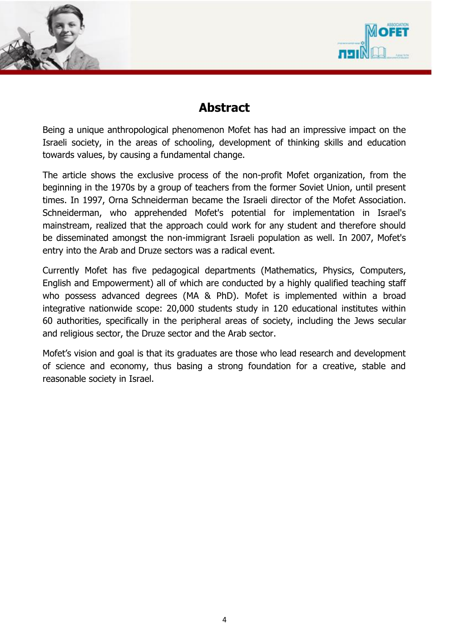



#### **Abstract**

Being a unique anthropological phenomenon Mofet has had an impressive impact on the Israeli society, in the areas of schooling, development of thinking skills and education towards values, by causing a fundamental change.

The article shows the exclusive process of the non-profit Mofet organization, from the beginning in the 1970s by a group of teachers from the former Soviet Union, until present times. In 1997, Orna Schneiderman became the Israeli director of the Mofet Association. Schneiderman, who apprehended Mofet's potential for implementation in Israel's mainstream, realized that the approach could work for any student and therefore should be disseminated amongst the non-immigrant Israeli population as well. In 2007, Mofet's entry into the Arab and Druze sectors was a radical event.

Currently Mofet has five pedagogical departments (Mathematics, Physics, Computers, English and Empowerment) all of which are conducted by a highly qualified teaching staff who possess advanced degrees (MA & PhD). Mofet is implemented within a broad integrative nationwide scope: 20,000 students study in 120 educational institutes within 60 authorities, specifically in the peripheral areas of society, including the Jews secular and religious sector, the Druze sector and the Arab sector.

Mofet's vision and goal is that its graduates are those who lead research and development of science and economy, thus basing a strong foundation for a creative, stable and reasonable society in Israel.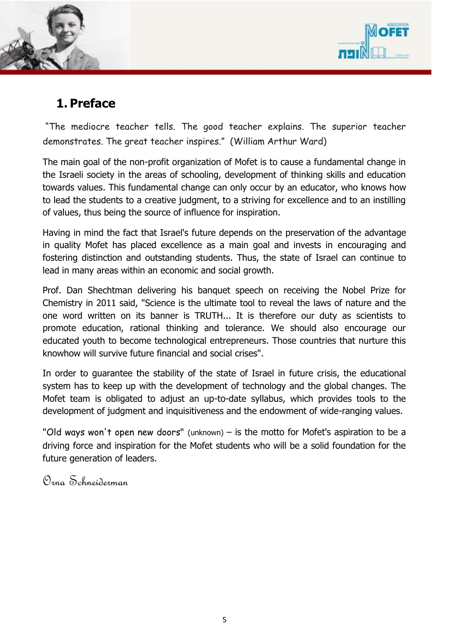



## **1. Preface**

"The mediocre teacher tells. The good teacher explains. The superior teacher demonstrates. The great teacher inspires." ([William Arthur Ward\)](http://www.goodreads.com/author/show/416931.William_Arthur_Ward)

The main goal of the non-profit organization of Mofet is to cause a fundamental change in the Israeli society in the areas of schooling, development of thinking skills and education towards values. This fundamental change can only occur by an educator, who knows how to lead the students to a creative judgment, to a striving for excellence and to an instilling of values, thus being the source of influence for inspiration.

Having in mind the fact that Israel's future depends on the preservation of the advantage in quality Mofet has placed excellence as a main goal and invests in encouraging and fostering distinction and outstanding students. Thus, the state of Israel can continue to lead in many areas within an economic and social growth.

Prof. Dan Shechtman delivering his banquet speech on receiving the Nobel Prize for Chemistry in 2011 said, "Science is the ultimate tool to reveal the laws of nature and the one word written on its banner is TRUTH... It is therefore our duty as scientists to promote education, rational thinking and tolerance. We should also encourage our educated youth to become technological entrepreneurs. Those countries that nurture this knowhow will survive future financial and social crises".

In order to guarantee the stability of the state of Israel in future crisis, the educational system has to keep up with the development of technology and the global changes. The Mofet team is obligated to adjust an up-to-date syllabus, which provides tools to the development of judgment and inquisitiveness and the endowment of wide-ranging values.

"Old ways won't open new doors" (unknown) – is the motto for Mofet's aspiration to be a driving force and inspiration for the Mofet students who will be a solid foundation for the future generation of leaders.

Orna Schneiderman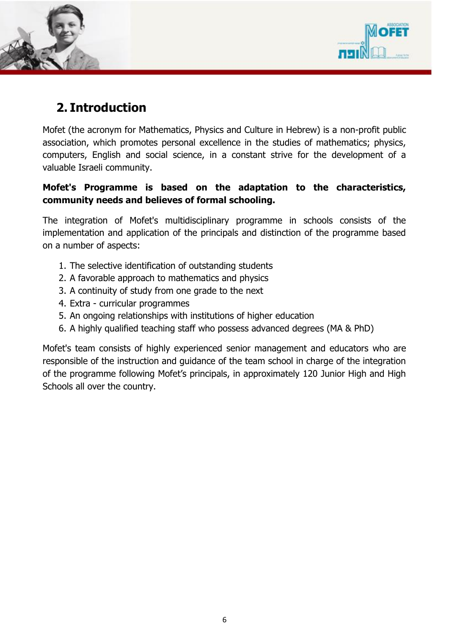



## **2. Introduction**

Mofet (the acronym for Mathematics, Physics and Culture in Hebrew) is a non-profit public association, which promotes personal excellence in the studies of mathematics; physics, computers, English and social science, in a constant strive for the development of a valuable Israeli community.

#### **Mofet's Programme is based on the adaptation to the characteristics, community needs and believes of formal schooling.**

The integration of Mofet's multidisciplinary programme in schools consists of the implementation and application of the principals and distinction of the programme based on a number of aspects:

- 1. The selective identification of outstanding students
- 2. A favorable approach to mathematics and physics
- 3. A continuity of study from one grade to the next
- 4. Extra curricular programmes
- 5. An ongoing relationships with institutions of higher education
- 6. A highly qualified teaching staff who possess advanced degrees (MA & PhD)

Mofet's team consists of highly experienced senior management and educators who are responsible of the instruction and guidance of the team school in charge of the integration of the programme following Mofet's principals, in approximately 120 Junior High and High Schools all over the country.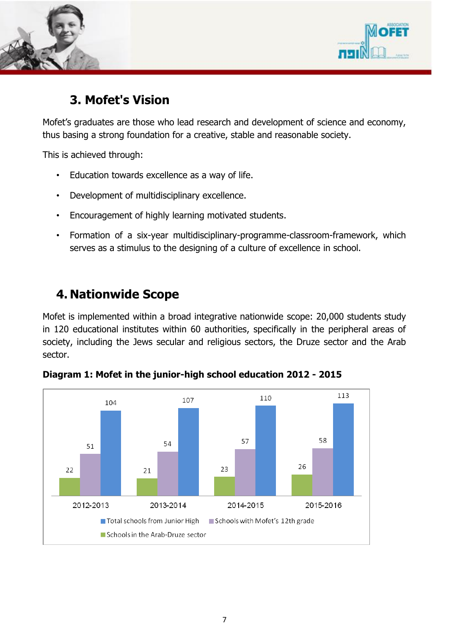



### **3. Mofet's Vision**

Mofet's graduates are those who lead research and development of science and economy, thus basing a strong foundation for a creative, stable and reasonable society.

This is achieved through:

- Education towards excellence as a way of life.
- Development of multidisciplinary excellence.
- Encouragement of highly learning motivated students.
- Formation of a six-year multidisciplinary-programme-classroom-framework, which serves as a stimulus to the designing of a culture of excellence in school.

### **4. Nationwide Scope**

Mofet is implemented within a broad integrative nationwide scope: 20,000 students study in 120 educational institutes within 60 authorities, specifically in the peripheral areas of society, including the Jews secular and religious sectors, the Druze sector and the Arab sector.



**Diagram 1: Mofet in the junior-high school education 2012 - 2015**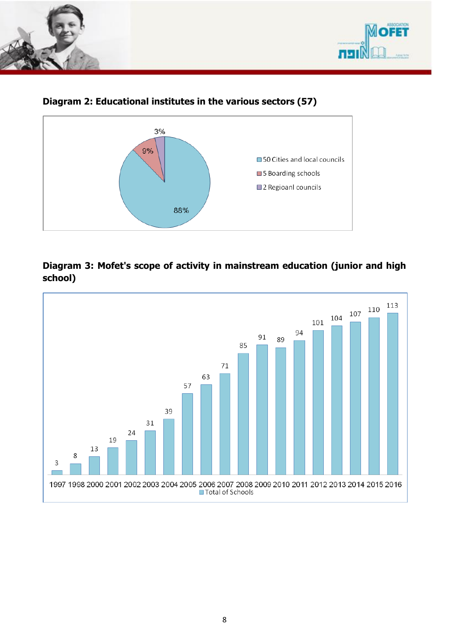



#### **Diagram 2: Educational institutes in the various sectors (57)**



#### **Diagram 3: Mofet's scope of activity in mainstream education (junior and high school)**

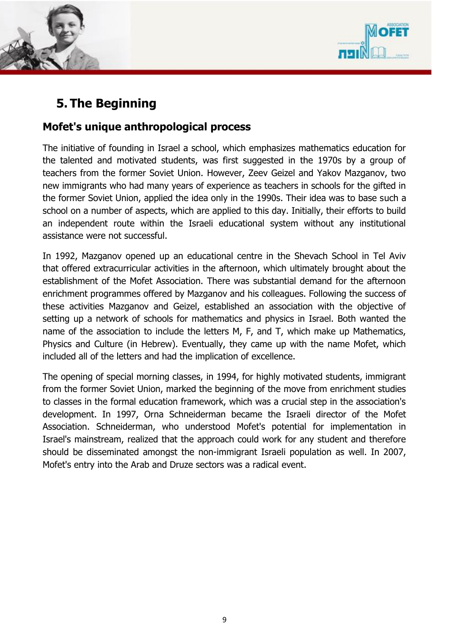



## **5. The Beginning**

#### **Mofet's unique anthropological process**

The initiative of founding in Israel a school, which emphasizes mathematics education for the talented and motivated students, was first suggested in the 1970s by a group of teachers from the former Soviet Union. However, Zeev Geizel and Yakov Mazganov, two new immigrants who had many years of experience as teachers in schools for the gifted in the former Soviet Union, applied the idea only in the 1990s. Their idea was to base such a school on a number of aspects, which are applied to this day. Initially, their efforts to build an independent route within the Israeli educational system without any institutional assistance were not successful.

In 1992, Mazganov opened up an educational centre in the Shevach School in Tel Aviv that offered extracurricular activities in the afternoon, which ultimately brought about the establishment of the Mofet Association. There was substantial demand for the afternoon enrichment programmes offered by Mazganov and his colleagues. Following the success of these activities Mazganov and Geizel, established an association with the objective of setting up a network of schools for mathematics and physics in Israel. Both wanted the name of the association to include the letters M, F, and T, which make up Mathematics, Physics and Culture (in Hebrew). Eventually, they came up with the name Mofet, which included all of the letters and had the implication of excellence.

The opening of special morning classes, in 1994, for highly motivated students, immigrant from the former Soviet Union, marked the beginning of the move from enrichment studies to classes in the formal education framework, which was a crucial step in the association's development. In 1997, Orna Schneiderman became the Israeli director of the Mofet Association. Schneiderman, who understood Mofet's potential for implementation in Israel's mainstream, realized that the approach could work for any student and therefore should be disseminated amongst the non-immigrant Israeli population as well. In 2007, Mofet's entry into the Arab and Druze sectors was a radical event.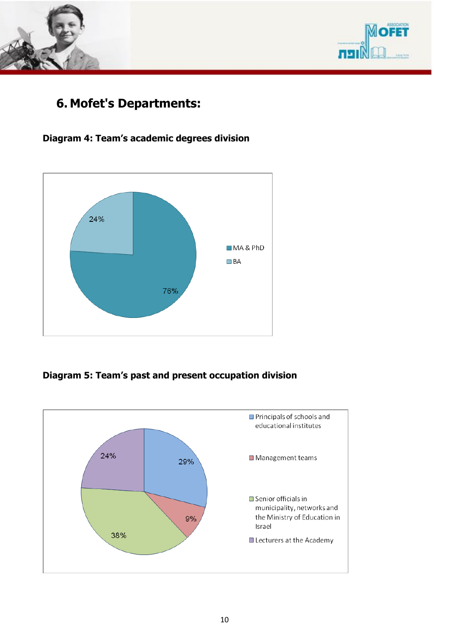



### **6. Mofet's Departments:**

#### **Diagram 4: Team's academic degrees division**



#### **Diagram 5: Team's past and present occupation division**

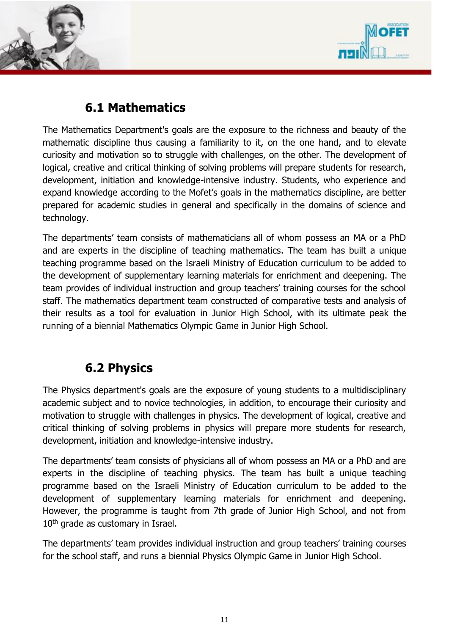



## **6.1 Mathematics**

The Mathematics Department's goals are the exposure to the richness and beauty of the mathematic discipline thus causing a familiarity to it, on the one hand, and to elevate curiosity and motivation so to struggle with challenges, on the other. The development of logical, creative and critical thinking of solving problems will prepare students for research, development, initiation and knowledge-intensive industry. Students, who experience and expand knowledge according to the Mofet's goals in the mathematics discipline, are better prepared for academic studies in general and specifically in the domains of science and technology.

The departments' team consists of mathematicians all of whom possess an MA or a PhD and are experts in the discipline of teaching mathematics. The team has built a unique teaching programme based on the Israeli Ministry of Education curriculum to be added to the development of supplementary learning materials for enrichment and deepening. The team provides of individual instruction and group teachers' training courses for the school staff. The mathematics department team constructed of comparative tests and analysis of their results as a tool for evaluation in Junior High School, with its ultimate peak the running of a biennial Mathematics Olympic Game in Junior High School.

## **6.2 Physics**

The Physics department's goals are the exposure of young students to a multidisciplinary academic subject and to novice technologies, in addition, to encourage their curiosity and motivation to struggle with challenges in physics. The development of logical, creative and critical thinking of solving problems in physics will prepare more students for research, development, initiation and knowledge-intensive industry.

The departments' team consists of physicians all of whom possess an MA or a PhD and are experts in the discipline of teaching physics. The team has built a unique teaching programme based on the Israeli Ministry of Education curriculum to be added to the development of supplementary learning materials for enrichment and deepening. However, the programme is taught from 7th grade of Junior High School, and not from 10<sup>th</sup> grade as customary in Israel.

The departments' team provides individual instruction and group teachers' training courses for the school staff, and runs a biennial Physics Olympic Game in Junior High School.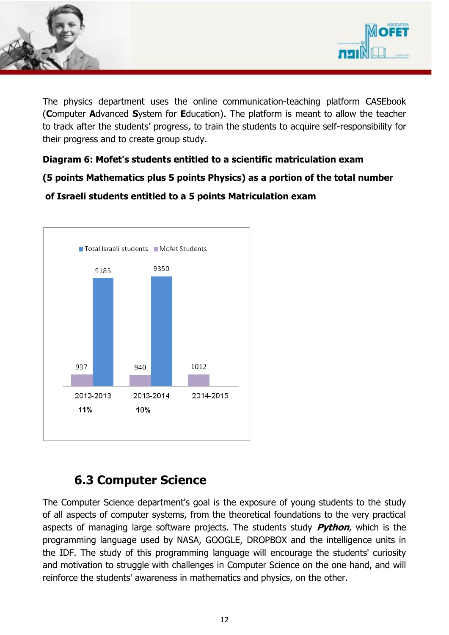



The physics department uses the online communication-teaching platform CASEbook (**C**omputer **A**dvanced **S**ystem for **E**ducation). The platform is meant to allow the teacher to track after the students' progress, to train the students to acquire self-responsibility for their progress and to create group study.

#### **Diagram 6: Mofet's students entitled to a scientific matriculation exam**

**(5 points Mathematics plus 5 points Physics) as a portion of the total number**

#### **of Israeli students entitled to a 5 points Matriculation exam**



## **6.3 Computer Science**

The Computer Science department's goal is the exposure of young students to the study of all aspects of computer systems, from the theoretical foundations to the very practical aspects of managing large software projects. The students study **Python**, which is the programming language used by NASA, GOOGLE, DROPBOX and the intelligence units in the IDF. The study of this programming language will encourage the students' curiosity and motivation to struggle with challenges in Computer Science on the one hand, and will reinforce the students' awareness in mathematics and physics, on the other.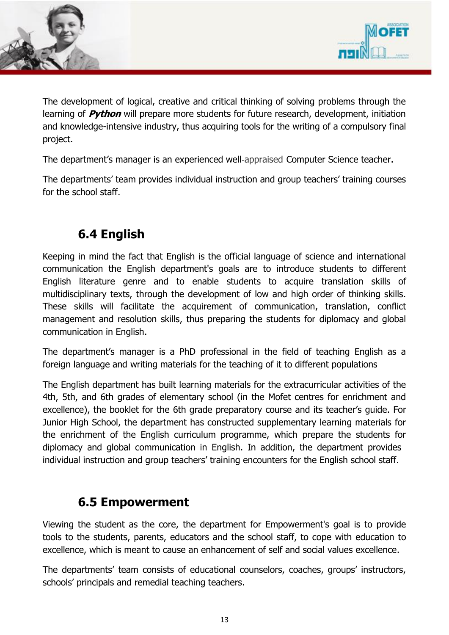



The development of logical, creative and critical thinking of solving problems through the learning of **Python** will prepare more students for future research, development, initiation and knowledge-intensive industry, thus acquiring tools for the writing of a compulsory final project.

The department's manager is an experienced well-appraised Computer Science teacher.

The departments' team provides individual instruction and group teachers' training courses for the school staff.

## **6.4 English**

Keeping in mind the fact that English is the official language of science and international communication the English department's goals are to introduce students to different English literature genre and to enable students to acquire translation skills of multidisciplinary texts, through the development of low and high order of thinking skills. These skills will facilitate the acquirement of communication, translation, conflict management and resolution skills, thus preparing the students for diplomacy and global communication in English.

The department's manager is a PhD professional in the field of teaching English as a foreign language and writing materials for the teaching of it to different populations

The English department has built learning materials for the extracurricular activities of the 4th, 5th, and 6th grades of elementary school (in the Mofet centres for enrichment and excellence), the booklet for the 6th grade preparatory course and its teacher's guide. For Junior High School, the department has constructed supplementary learning materials for the enrichment of the English curriculum programme, which prepare the students for diplomacy and global communication in English. In addition, the department provides individual instruction and group teachers' training encounters for the English school staff.

### **6.5 Empowerment**

Viewing the student as the core, the department for Empowerment's goal is to provide tools to the students, parents, educators and the school staff, to cope with education to excellence, which is meant to cause an enhancement of self and social values excellence.

The departments' team consists of educational counselors, coaches, groups' instructors, schools' principals and remedial teaching teachers.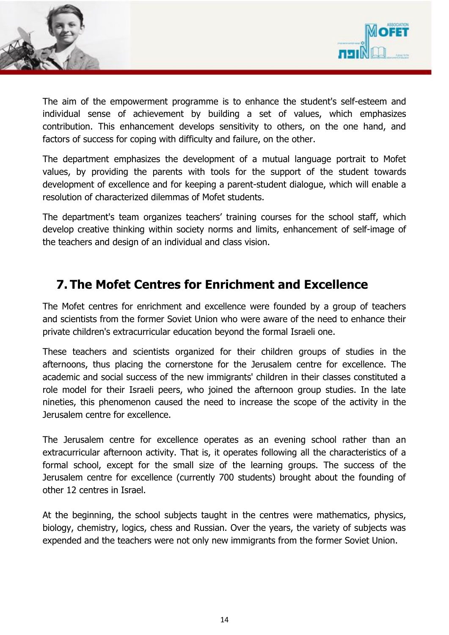



The aim of the empowerment programme is to enhance the student's self-esteem and individual sense of achievement by building a set of values, which emphasizes contribution. This enhancement develops sensitivity to others, on the one hand, and factors of success for coping with difficulty and failure, on the other.

The department emphasizes the development of a mutual language portrait to Mofet values, by providing the parents with tools for the support of the student towards development of excellence and for keeping a parent-student dialogue, which will enable a resolution of characterized dilemmas of Mofet students.

The department's team organizes teachers' training courses for the school staff, which develop creative thinking within society norms and limits, enhancement of self-image of the teachers and design of an individual and class vision.

## **7. The Mofet Centres for Enrichment and Excellence**

The Mofet centres for enrichment and excellence were founded by a group of teachers and scientists from the former Soviet Union who were aware of the need to enhance their private children's extracurricular education beyond the formal Israeli one.

These teachers and scientists organized for their children groups of studies in the afternoons, thus placing the cornerstone for the Jerusalem centre for excellence. The academic and social success of the new immigrants' children in their classes constituted a role model for their Israeli peers, who joined the afternoon group studies. In the late nineties, this phenomenon caused the need to increase the scope of the activity in the Jerusalem centre for excellence.

The Jerusalem centre for excellence operates as an evening school rather than an extracurricular afternoon activity. That is, it operates following all the characteristics of a formal school, except for the small size of the learning groups. The success of the Jerusalem centre for excellence (currently 700 students) brought about the founding of other 12 centres in Israel.

At the beginning, the school subjects taught in the centres were mathematics, physics, biology, chemistry, logics, chess and Russian. Over the years, the variety of subjects was expended and the teachers were not only new immigrants from the former Soviet Union.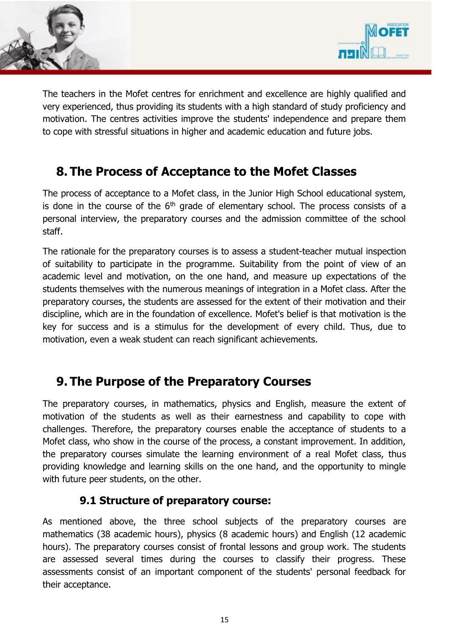



The teachers in the Mofet centres for enrichment and excellence are highly qualified and very experienced, thus providing its students with a high standard of study proficiency and motivation. The centres activities improve the students' independence and prepare them to cope with stressful situations in higher and academic education and future jobs.

## **8. The Process of Acceptance to the Mofet Classes**

The process of acceptance to a Mofet class, in the Junior High School educational system, is done in the course of the  $6<sup>th</sup>$  grade of elementary school. The process consists of a personal interview, the preparatory courses and the admission committee of the school staff.

The rationale for the preparatory courses is to assess a student-teacher mutual inspection of suitability to participate in the programme. Suitability from the point of view of an academic level and motivation, on the one hand, and measure up expectations of the students themselves with the numerous meanings of integration in a Mofet class. After the preparatory courses, the students are assessed for the extent of their motivation and their discipline, which are in the foundation of excellence. Mofet's belief is that motivation is the key for success and is a stimulus for the development of every child. Thus, due to motivation, even a weak student can reach significant achievements.

### **9. The Purpose of the Preparatory Courses**

The preparatory courses, in mathematics, physics and English, measure the extent of motivation of the students as well as their earnestness and capability to cope with challenges. Therefore, the preparatory courses enable the acceptance of students to a Mofet class, who show in the course of the process, a constant improvement. In addition, the preparatory courses simulate the learning environment of a real Mofet class, thus providing knowledge and learning skills on the one hand, and the opportunity to mingle with future peer students, on the other.

#### **9.1 Structure of preparatory course:**

As mentioned above, the three school subjects of the preparatory courses are mathematics (38 academic hours), physics (8 academic hours) and English (12 academic hours). The preparatory courses consist of frontal lessons and group work. The students are assessed several times during the courses to classify their progress. These assessments consist of an important component of the students' personal feedback for their acceptance.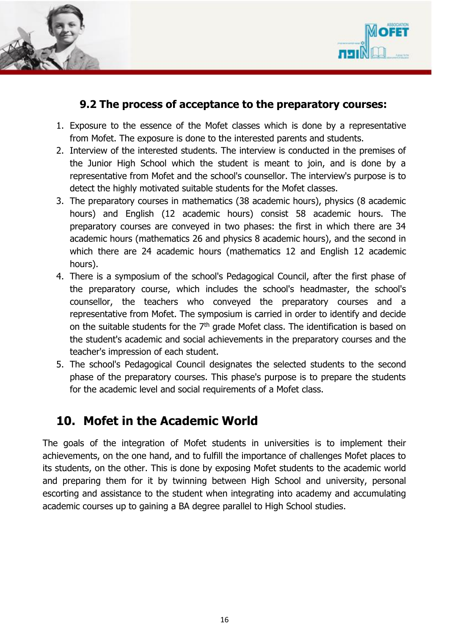



#### **9.2 The process of acceptance to the preparatory courses:**

- 1. Exposure to the essence of the Mofet classes which is done by a representative from Mofet. The exposure is done to the interested parents and students.
- 2. Interview of the interested students. The interview is conducted in the premises of the Junior High School which the student is meant to join, and is done by a representative from Mofet and the school's counsellor. The interview's purpose is to detect the highly motivated suitable students for the Mofet classes.
- 3. The preparatory courses in mathematics (38 academic hours), physics (8 academic hours) and English (12 academic hours) consist 58 academic hours. The preparatory courses are conveyed in two phases: the first in which there are 34 academic hours (mathematics 26 and physics 8 academic hours), and the second in which there are 24 academic hours (mathematics 12 and English 12 academic hours).
- 4. There is a symposium of the school's Pedagogical Council, after the first phase of the preparatory course, which includes the school's headmaster, the school's counsellor, the teachers who conveyed the preparatory courses and a representative from Mofet. The symposium is carried in order to identify and decide on the suitable students for the  $7<sup>th</sup>$  grade Mofet class. The identification is based on the student's academic and social achievements in the preparatory courses and the teacher's impression of each student.
- 5. The school's Pedagogical Council designates the selected students to the second phase of the preparatory courses. This phase's purpose is to prepare the students for the academic level and social requirements of a Mofet class.

## **10. Mofet in the Academic World**

The goals of the integration of Mofet students in universities is to implement their achievements, on the one hand, and to fulfill the importance of challenges Mofet places to its students, on the other. This is done by exposing Mofet students to the academic world and preparing them for it by twinning between High School and university, personal escorting and assistance to the student when integrating into academy and accumulating academic courses up to gaining a BA degree parallel to High School studies.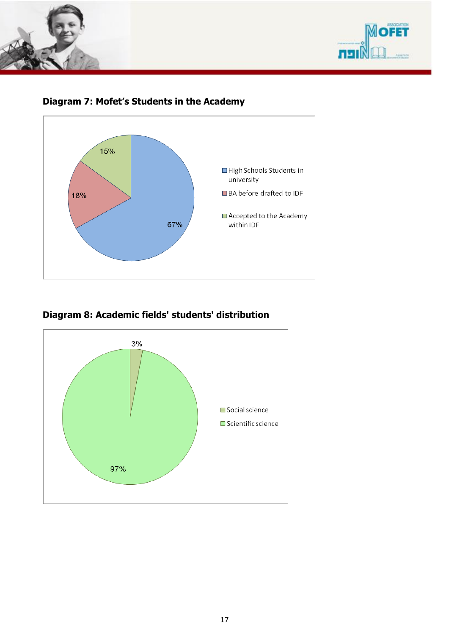







**Diagram 8: Academic fields' students' distribution**